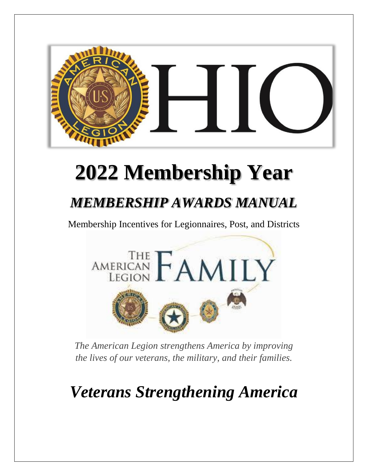

## **2022 Membership Year**

#### *MEMBERSHIP AWARDS MANUAL*

Membership Incentives for Legionnaires, Post, and Districts



*The American Legion strengthens America by improving the lives of our veterans, the military, and their families.* 

*Veterans Strengthening America*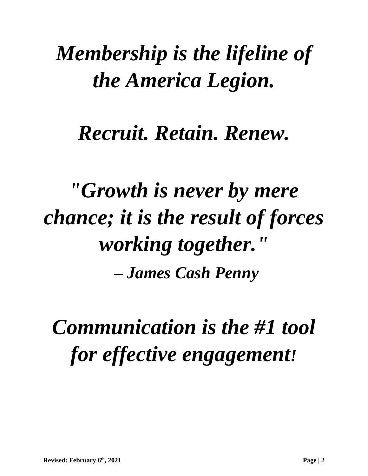## *Membership is the lifeline of the America Legion.*

## *Recruit. Retain. Renew.*

*"Growth is never by mere chance; it is the result of forces working together." – James Cash Penny*

*Communication is the #1 tool for effective engagement!*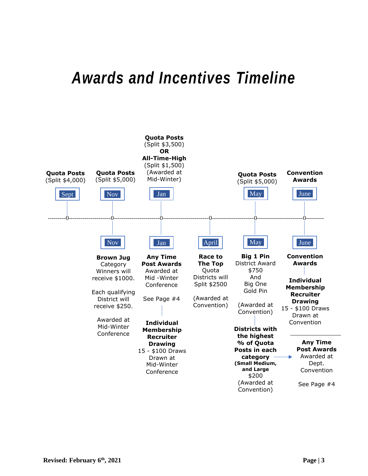#### *Awards and Incentives Timeline*

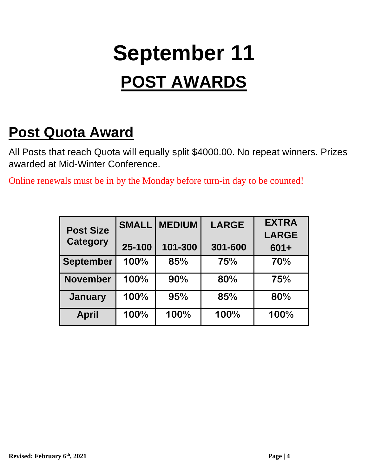## **September 11 POST AWARDS**

#### **Post Quota Award**

All Posts that reach Quota will equally split \$4000.00. No repeat winners. Prizes awarded at Mid-Winter Conference.

Online renewals must be in by the Monday before turn-in day to be counted!

|                                     | <b>SMALL</b> | <b>MEDIUM</b> | <b>LARGE</b> | <b>EXTRA</b> |
|-------------------------------------|--------------|---------------|--------------|--------------|
| <b>Post Size</b><br><b>Category</b> |              |               |              | <b>LARGE</b> |
|                                     | 25-100       | 101-300       | 301-600      | $601 +$      |
| <b>September</b>                    | 100%         | 85%           | 75%          | 70%          |
| <b>November</b>                     | 100%         | 90%           | 80%          | 75%          |
| <b>January</b>                      | 100%         | 95%           | 85%          | 80%          |
| <b>April</b>                        | 100%         | 100%          | 100%         | 100%         |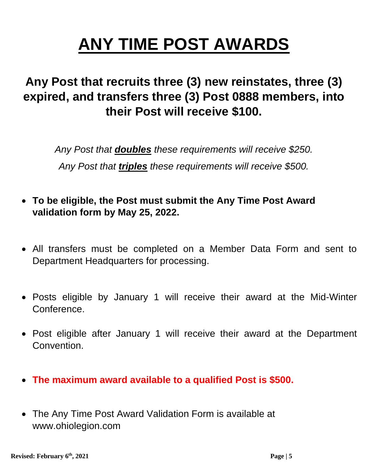## **ANY TIME POST AWARDS**

#### **Any Post that recruits three (3) new reinstates, three (3) expired, and transfers three (3) Post 0888 members, into their Post will receive \$100.**

*Any Post that doubles these requirements will receive \$250. Any Post that triples these requirements will receive \$500.*

- **To be eligible, the Post must submit the Any Time Post Award validation form by May 25, 2022.**
- All transfers must be completed on a Member Data Form and sent to Department Headquarters for processing.
- Posts eligible by January 1 will receive their award at the Mid-Winter Conference.
- Post eligible after January 1 will receive their award at the Department Convention.
- **The maximum award available to a qualified Post is \$500.**
- The Any Time Post Award Validation Form is available at www.ohiolegion.com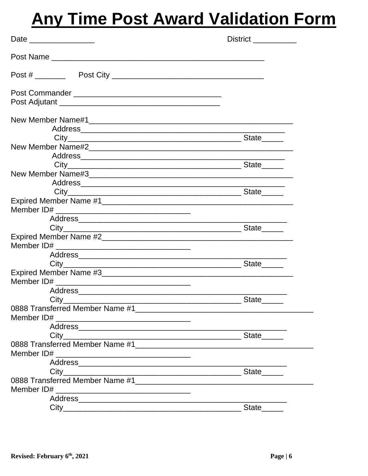#### **Any Time Post Award Validation Form**

|         | District <u>District</u> |
|---------|--------------------------|
|         |                          |
|         |                          |
|         |                          |
|         |                          |
|         |                          |
|         |                          |
|         |                          |
|         |                          |
|         |                          |
|         |                          |
|         |                          |
|         |                          |
|         |                          |
|         |                          |
|         |                          |
|         |                          |
|         |                          |
|         |                          |
|         |                          |
|         |                          |
|         |                          |
|         |                          |
|         |                          |
|         |                          |
|         |                          |
| $City_$ | State_                   |
|         |                          |
|         |                          |
|         |                          |
|         |                          |
|         |                          |
|         |                          |
|         |                          |
|         |                          |
|         |                          |
|         |                          |
|         |                          |
|         | State <sub>______</sub>  |
|         |                          |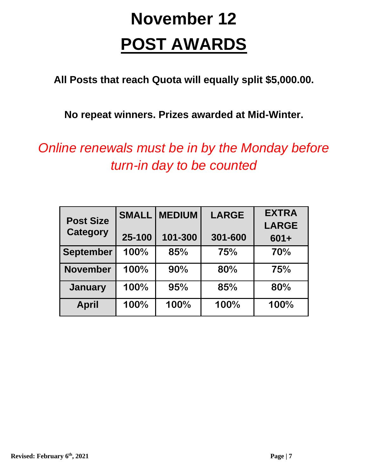## **November 12 POST AWARDS**

**All Posts that reach Quota will equally split \$5,000.00.**

**No repeat winners. Prizes awarded at Mid-Winter.**

*Online renewals must be in by the Monday before turn-in day to be counted*

| <b>Post Size</b><br><b>Category</b> | <b>SMALL</b> | <b>MEDIUM</b> | <b>LARGE</b> | <b>EXTRA</b><br><b>LARGE</b> |
|-------------------------------------|--------------|---------------|--------------|------------------------------|
|                                     | 25-100       | 101-300       | 301-600      | $601 +$                      |
| <b>September</b>                    | 100%         | 85%           | 75%          | 70%                          |
| <b>November</b>                     | 100%         | 90%           | 80%          | 75%                          |
| <b>January</b>                      | 100%         | 95%           | 85%          | 80%                          |
| <b>April</b>                        | 100%         | 100%          | 100%         | 100%                         |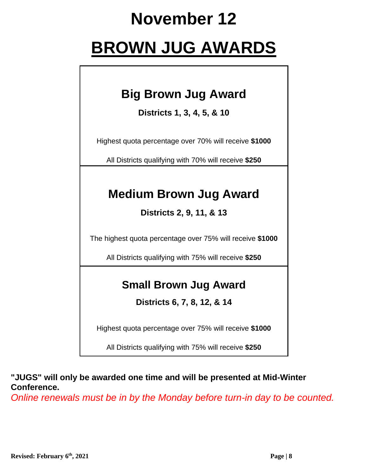#### **November 12**

#### **BROWN JUG AWARDS**

#### **Big Brown Jug Award**

**Districts 1, 3, 4, 5, & 10**

Highest quota percentage over 70% will receive **\$1000**

All Districts qualifying with 70% will receive **\$250**

#### **Medium Brown Jug Award**

**Districts 2, 9, 11, & 13**

The highest quota percentage over 75% will receive **\$1000**

All Districts qualifying with 75% will receive **\$250**

#### **Small Brown Jug Award**

**Districts 6, 7, 8, 12, & 14**

Highest quota percentage over 75% will receive **\$1000**

All Districts qualifying with 75% will receive **\$250**

**"JUGS" will only be awarded one time and will be presented at Mid-Winter Conference.**

*Online renewals must be in by the Monday before turn-in day to be counted.*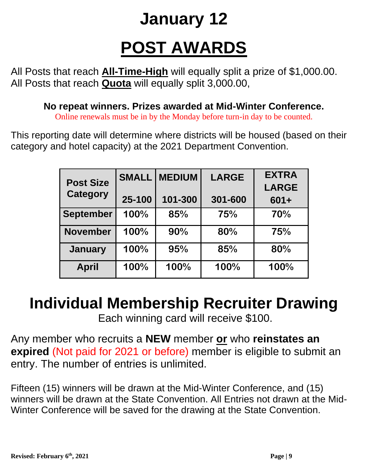## **January 12 POST AWARDS**

All Posts that reach **All-Time-High** will equally split a prize of \$1,000.00. All Posts that reach **Quota** will equally split 3,000.00,

**No repeat winners. Prizes awarded at Mid-Winter Conference.**

Online renewals must be in by the Monday before turn-in day to be counted.

This reporting date will determine where districts will be housed (based on their category and hotel capacity) at the 2021 Department Convention.

| <b>Post Size</b> | <b>SMALL</b> | <b>MEDIUM</b> | <b>LARGE</b> | <b>EXTRA</b> |
|------------------|--------------|---------------|--------------|--------------|
|                  |              |               |              | <b>LARGE</b> |
| <b>Category</b>  | 25-100       | 101-300       | 301-600      | $601 +$      |
| <b>September</b> | 100%         | 85%           | 75%          | 70%          |
| <b>November</b>  | 100%         | 90%           | 80%          | 75%          |
| <b>January</b>   | 100%         | 95%           | 85%          | 80%          |
| <b>April</b>     | 100%         | 100%          | 100%         | 100%         |

#### **Individual Membership Recruiter Drawing**

Each winning card will receive \$100.

Any member who recruits a **NEW** member **or** who **reinstates an expired** (Not paid for 2021 or before) member is eligible to submit an entry. The number of entries is unlimited.

Fifteen (15) winners will be drawn at the Mid-Winter Conference, and (15) winners will be drawn at the State Convention. All Entries not drawn at the Mid-Winter Conference will be saved for the drawing at the State Convention.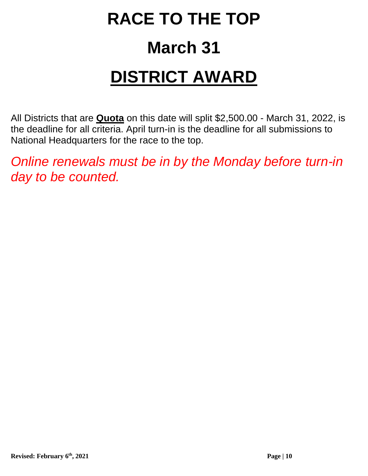## **RACE TO THE TOP March 31 DISTRICT AWARD**

All Districts that are **Quota** on this date will split \$2,500.00 - March 31, 2022, is the deadline for all criteria. April turn-in is the deadline for all submissions to National Headquarters for the race to the top.

*Online renewals must be in by the Monday before turn-in day to be counted.*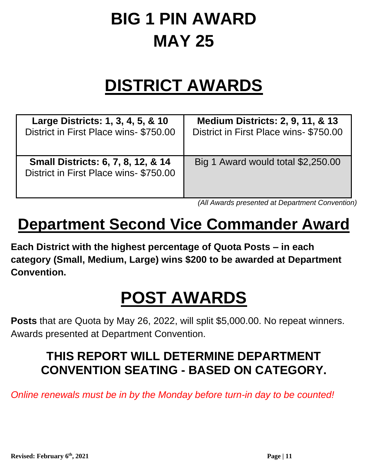## **BIG 1 PIN AWARD MAY 25**

#### **DISTRICT AWARDS**

| Large Districts: 1, 3, 4, 5, & 10                                           | <b>Medium Districts: 2, 9, 11, &amp; 13</b> |
|-----------------------------------------------------------------------------|---------------------------------------------|
| District in First Place wins-\$750.00                                       | District in First Place wins-\$750.00       |
| Small Districts: 6, 7, 8, 12, & 14<br>District in First Place wins-\$750.00 | Big 1 Award would total \$2,250.00          |

*(All Awards presented at Department Convention)*

#### **Department Second Vice Commander Award**

**Each District with the highest percentage of Quota Posts – in each category (Small, Medium, Large) wins \$200 to be awarded at Department Convention.**

#### **POST AWARDS**

**Posts** that are Quota by May 26, 2022, will split \$5,000.00. No repeat winners. Awards presented at Department Convention.

#### **THIS REPORT WILL DETERMINE DEPARTMENT CONVENTION SEATING - BASED ON CATEGORY.**

*Online renewals must be in by the Monday before turn-in day to be counted!*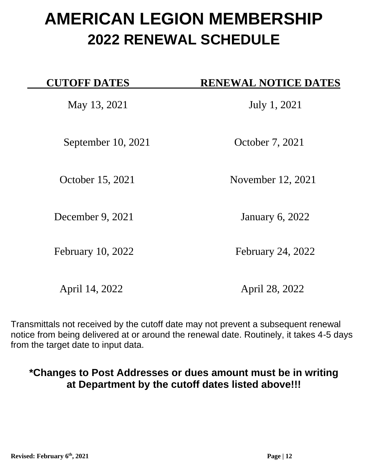#### **AMERICAN LEGION MEMBERSHIP 2022 RENEWAL SCHEDULE**

| <b>CUTOFF DATES</b> | <b>RENEWAL NOTICE DATES</b> |
|---------------------|-----------------------------|
| May 13, 2021        | July 1, 2021                |
| September 10, 2021  | October 7, 2021             |
| October 15, 2021    | November 12, 2021           |
| December 9, 2021    | <b>January 6, 2022</b>      |
| February 10, 2022   | <b>February 24, 2022</b>    |
| April 14, 2022      | April 28, 2022              |

Transmittals not received by the cutoff date may not prevent a subsequent renewal notice from being delivered at or around the renewal date. Routinely, it takes 4-5 days from the target date to input data.

#### **\*Changes to Post Addresses or dues amount must be in writing at Department by the cutoff dates listed above!!!**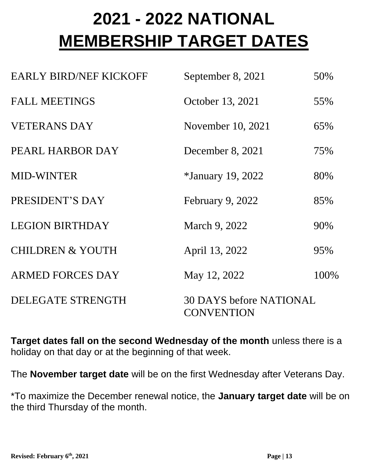## **2021 - 2022 NATIONAL MEMBERSHIP TARGET DATES**

| <b>EARLY BIRD/NEF KICKOFF</b> | September 8, 2021                                   | 50%  |
|-------------------------------|-----------------------------------------------------|------|
| <b>FALL MEETINGS</b>          | October 13, 2021                                    | 55%  |
| <b>VETERANS DAY</b>           | November 10, 2021                                   | 65%  |
| PEARL HARBOR DAY              | December 8, 2021                                    | 75%  |
| <b>MID-WINTER</b>             | <i>*January 19, 2022</i>                            | 80%  |
| PRESIDENT'S DAY               | February 9, 2022                                    | 85%  |
| <b>LEGION BIRTHDAY</b>        | March 9, 2022                                       | 90%  |
| <b>CHILDREN &amp; YOUTH</b>   | April 13, 2022                                      | 95%  |
| <b>ARMED FORCES DAY</b>       | May 12, 2022                                        | 100% |
| <b>DELEGATE STRENGTH</b>      | <b>30 DAYS before NATIONAL</b><br><b>CONVENTION</b> |      |

**Target dates fall on the second Wednesday of the month** unless there is a holiday on that day or at the beginning of that week.

The **November target date** will be on the first Wednesday after Veterans Day.

\*To maximize the December renewal notice, the **January target date** will be on the third Thursday of the month.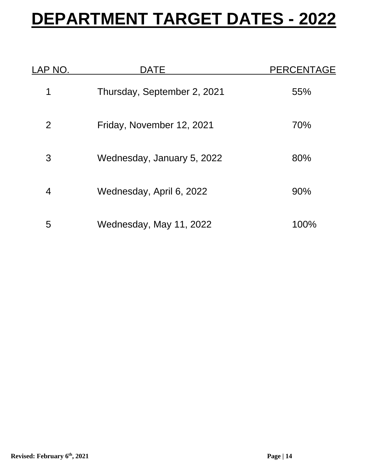#### **DEPARTMENT TARGET DATES - 2022**

| LAP NO. | <b>DATE</b>                 | <b>PERCENTAGE</b> |
|---------|-----------------------------|-------------------|
|         | Thursday, September 2, 2021 | 55%               |
| 2       | Friday, November 12, 2021   | 70%               |
| 3       | Wednesday, January 5, 2022  | 80%               |
| 4       | Wednesday, April 6, 2022    | 90%               |
| 5       | Wednesday, May 11, 2022     | 100%              |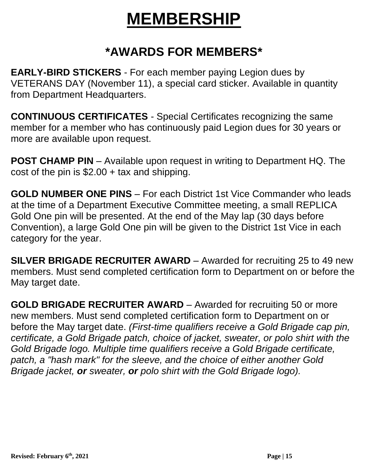#### **MEMBERSHIP**

#### **\*AWARDS FOR MEMBERS\***

**EARLY-BIRD STICKERS** - For each member paying Legion dues by VETERANS DAY (November 11), a special card sticker. Available in quantity from Department Headquarters.

**CONTINUOUS CERTIFICATES** - Special Certificates recognizing the same member for a member who has continuously paid Legion dues for 30 years or more are available upon request.

**POST CHAMP PIN** – Available upon request in writing to Department HQ. The cost of the pin is  $$2.00 + tax$  and shipping.

**GOLD NUMBER ONE PINS** – For each District 1st Vice Commander who leads at the time of a Department Executive Committee meeting, a small REPLICA Gold One pin will be presented. At the end of the May lap (30 days before Convention), a large Gold One pin will be given to the District 1st Vice in each category for the year.

**SILVER BRIGADE RECRUITER AWARD** – Awarded for recruiting 25 to 49 new members. Must send completed certification form to Department on or before the May target date.

**GOLD BRIGADE RECRUITER AWARD** – Awarded for recruiting 50 or more new members. Must send completed certification form to Department on or before the May target date. *(First-time qualifiers receive a Gold Brigade cap pin, certificate, a Gold Brigade patch, choice of jacket, sweater, or polo shirt with the Gold Brigade logo. Multiple time qualifiers receive a Gold Brigade certificate, patch, a "hash mark" for the sleeve, and the choice of either another Gold Brigade jacket, or sweater, or polo shirt with the Gold Brigade logo).*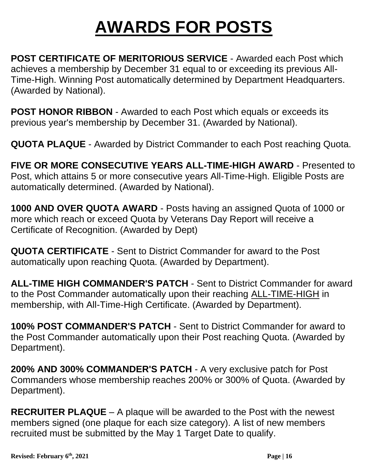#### **AWARDS FOR POSTS**

**POST CERTIFICATE OF MERITORIOUS SERVICE** - Awarded each Post which achieves a membership by December 31 equal to or exceeding its previous All-Time-High. Winning Post automatically determined by Department Headquarters. (Awarded by National).

**POST HONOR RIBBON** - Awarded to each Post which equals or exceeds its previous year's membership by December 31. (Awarded by National).

**QUOTA PLAQUE** - Awarded by District Commander to each Post reaching Quota.

**FIVE OR MORE CONSECUTIVE YEARS ALL-TIME-HIGH AWARD** - Presented to Post, which attains 5 or more consecutive years All-Time-High. Eligible Posts are automatically determined. (Awarded by National).

**1000 AND OVER QUOTA AWARD** - Posts having an assigned Quota of 1000 or more which reach or exceed Quota by Veterans Day Report will receive a Certificate of Recognition. (Awarded by Dept)

**QUOTA CERTIFICATE** - Sent to District Commander for award to the Post automatically upon reaching Quota. (Awarded by Department).

**ALL-TIME HIGH COMMANDER'S PATCH** - Sent to District Commander for award to the Post Commander automatically upon their reaching **ALL-TIME-HIGH** in membership, with All-Time-High Certificate. (Awarded by Department).

**100% POST COMMANDER'S PATCH** - Sent to District Commander for award to the Post Commander automatically upon their Post reaching Quota. (Awarded by Department).

**200% AND 300% COMMANDER'S PATCH** - A very exclusive patch for Post Commanders whose membership reaches 200% or 300% of Quota. (Awarded by Department).

**RECRUITER PLAQUE** – A plaque will be awarded to the Post with the newest members signed (one plaque for each size category). A list of new members recruited must be submitted by the May 1 Target Date to qualify.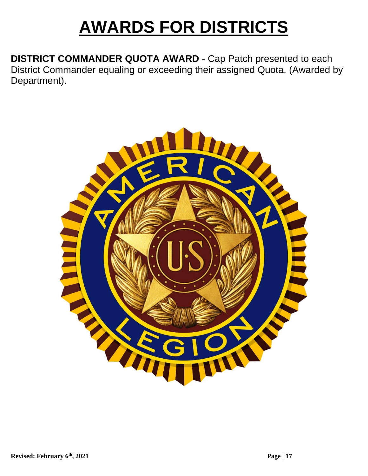#### **AWARDS FOR DISTRICTS**

**DISTRICT COMMANDER QUOTA AWARD** - Cap Patch presented to each District Commander equaling or exceeding their assigned Quota. (Awarded by Department).

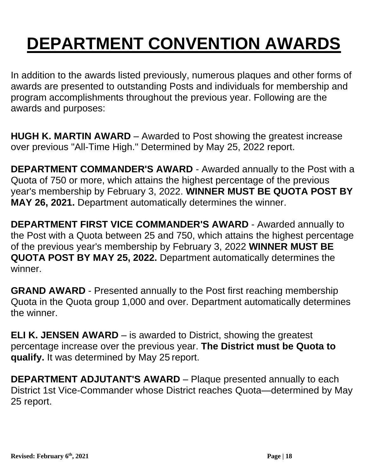## **DEPARTMENT CONVENTION AWARDS**

In addition to the awards listed previously, numerous plaques and other forms of awards are presented to outstanding Posts and individuals for membership and program accomplishments throughout the previous year. Following are the awards and purposes:

**HUGH K. MARTIN AWARD** – Awarded to Post showing the greatest increase over previous "All-Time High." Determined by May 25, 2022 report.

**DEPARTMENT COMMANDER'S AWARD** - Awarded annually to the Post with a Quota of 750 or more, which attains the highest percentage of the previous year's membership by February 3, 2022. **WINNER MUST BE QUOTA POST BY MAY 26, 2021.** Department automatically determines the winner.

**DEPARTMENT FIRST VICE COMMANDER'S AWARD** - Awarded annually to the Post with a Quota between 25 and 750, which attains the highest percentage of the previous year's membership by February 3, 2022 **WINNER MUST BE QUOTA POST BY MAY 25, 2022.** Department automatically determines the winner.

**GRAND AWARD** - Presented annually to the Post first reaching membership Quota in the Quota group 1,000 and over. Department automatically determines the winner.

**ELI K. JENSEN AWARD** – is awarded to District, showing the greatest percentage increase over the previous year. **The District must be Quota to qualify.** It was determined by May 25 report.

**DEPARTMENT ADJUTANT'S AWARD** – Plaque presented annually to each District 1st Vice-Commander whose District reaches Quota—determined by May 25 report.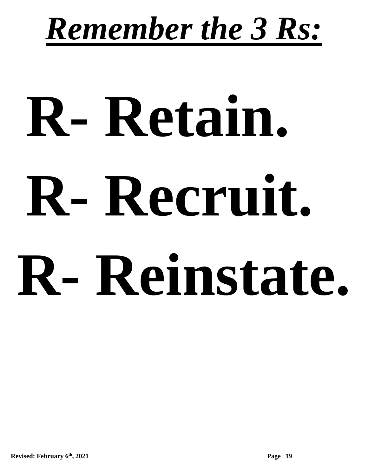## *Remember the 3 Rs:*

# **R- Retain. R- Recruit. R- Reinstate.**